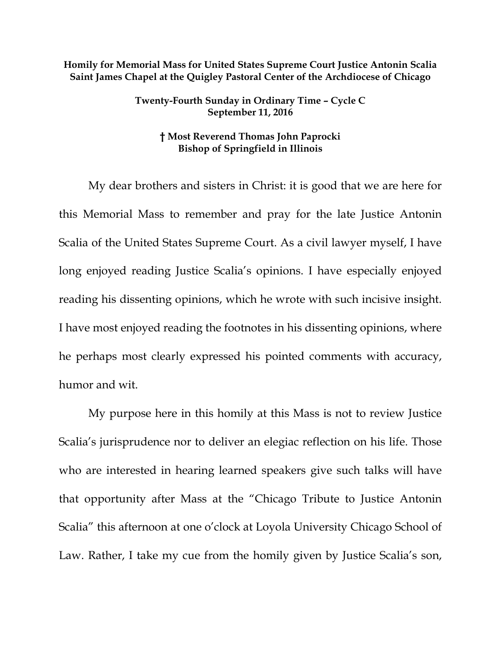## **Homily for Memorial Mass for United States Supreme Court Justice Antonin Scalia Saint James Chapel at the Quigley Pastoral Center of the Archdiocese of Chicago**

## **Twenty-Fourth Sunday in Ordinary Time – Cycle C September 11, 2016**

## **† Most Reverend Thomas John Paprocki Bishop of Springfield in Illinois**

My dear brothers and sisters in Christ: it is good that we are here for this Memorial Mass to remember and pray for the late Justice Antonin Scalia of the United States Supreme Court. As a civil lawyer myself, I have long enjoyed reading Justice Scalia's opinions. I have especially enjoyed reading his dissenting opinions, which he wrote with such incisive insight. I have most enjoyed reading the footnotes in his dissenting opinions, where he perhaps most clearly expressed his pointed comments with accuracy, humor and wit.

My purpose here in this homily at this Mass is not to review Justice Scalia's jurisprudence nor to deliver an elegiac reflection on his life. Those who are interested in hearing learned speakers give such talks will have that opportunity after Mass at the "Chicago Tribute to Justice Antonin Scalia" this afternoon at one o'clock at Loyola University Chicago School of Law. Rather, I take my cue from the homily given by Justice Scalia's son,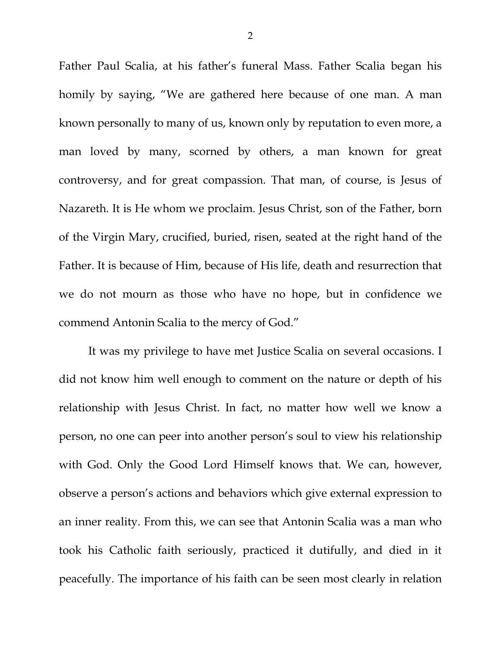Father Paul Scalia, at his father's funeral Mass. Father Scalia began his homily by saying, "We are gathered here because of one man. A man known personally to many of us, known only by reputation to even more, a man loved by many, scorned by others, a man known for great controversy, and for great compassion. That man, of course, is Jesus of Nazareth. It is He whom we proclaim. Jesus Christ, son of the Father, born of the Virgin Mary, crucified, buried, risen, seated at the right hand of the Father. It is because of Him, because of His life, death and resurrection that we do not mourn as those who have no hope, but in confidence we commend Antonin Scalia to the mercy of God."

It was my privilege to have met Justice Scalia on several occasions. I did not know him well enough to comment on the nature or depth of his relationship with Jesus Christ. In fact, no matter how well we know a person, no one can peer into another person's soul to view his relationship with God. Only the Good Lord Himself knows that. We can, however, observe a person's actions and behaviors which give external expression to an inner reality. From this, we can see that Antonin Scalia was a man who took his Catholic faith seriously, practiced it dutifully, and died in it peacefully. The importance of his faith can be seen most clearly in relation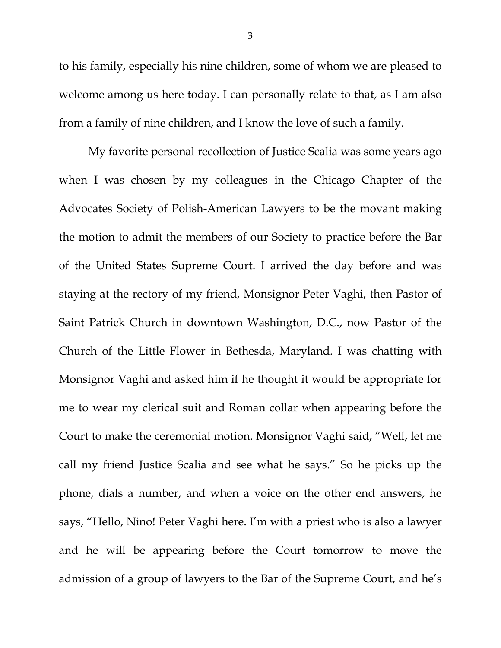to his family, especially his nine children, some of whom we are pleased to welcome among us here today. I can personally relate to that, as I am also from a family of nine children, and I know the love of such a family.

My favorite personal recollection of Justice Scalia was some years ago when I was chosen by my colleagues in the Chicago Chapter of the Advocates Society of Polish-American Lawyers to be the movant making the motion to admit the members of our Society to practice before the Bar of the United States Supreme Court. I arrived the day before and was staying at the rectory of my friend, Monsignor Peter Vaghi, then Pastor of Saint Patrick Church in downtown Washington, D.C., now Pastor of the Church of the Little Flower in Bethesda, Maryland. I was chatting with Monsignor Vaghi and asked him if he thought it would be appropriate for me to wear my clerical suit and Roman collar when appearing before the Court to make the ceremonial motion. Monsignor Vaghi said, "Well, let me call my friend Justice Scalia and see what he says." So he picks up the phone, dials a number, and when a voice on the other end answers, he says, "Hello, Nino! Peter Vaghi here. I'm with a priest who is also a lawyer and he will be appearing before the Court tomorrow to move the admission of a group of lawyers to the Bar of the Supreme Court, and he's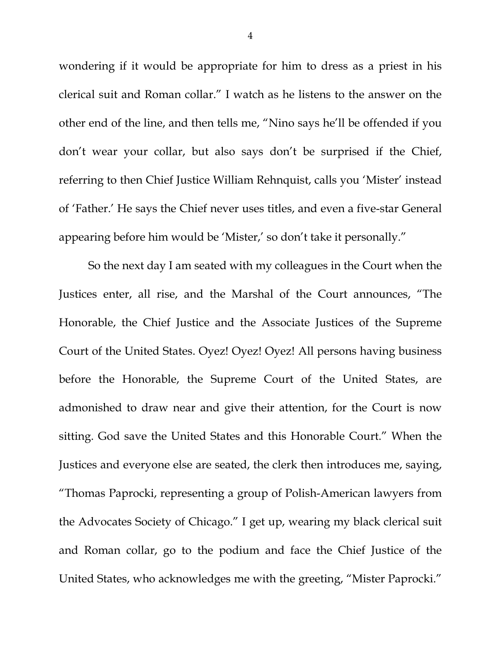wondering if it would be appropriate for him to dress as a priest in his clerical suit and Roman collar." I watch as he listens to the answer on the other end of the line, and then tells me, "Nino says he'll be offended if you don't wear your collar, but also says don't be surprised if the Chief, referring to then Chief Justice William Rehnquist, calls you 'Mister' instead of 'Father.' He says the Chief never uses titles, and even a five-star General appearing before him would be 'Mister,' so don't take it personally."

So the next day I am seated with my colleagues in the Court when the Justices enter, all rise, and the Marshal of the Court announces, "The Honorable, the Chief Justice and the Associate Justices of the Supreme Court of the United States. Oyez! Oyez! Oyez! All persons having business before the Honorable, the Supreme Court of the United States, are admonished to draw near and give their attention, for the Court is now sitting. God save the United States and this Honorable Court." When the Justices and everyone else are seated, the clerk then introduces me, saying, "Thomas Paprocki, representing a group of Polish-American lawyers from the Advocates Society of Chicago." I get up, wearing my black clerical suit and Roman collar, go to the podium and face the Chief Justice of the United States, who acknowledges me with the greeting, "Mister Paprocki."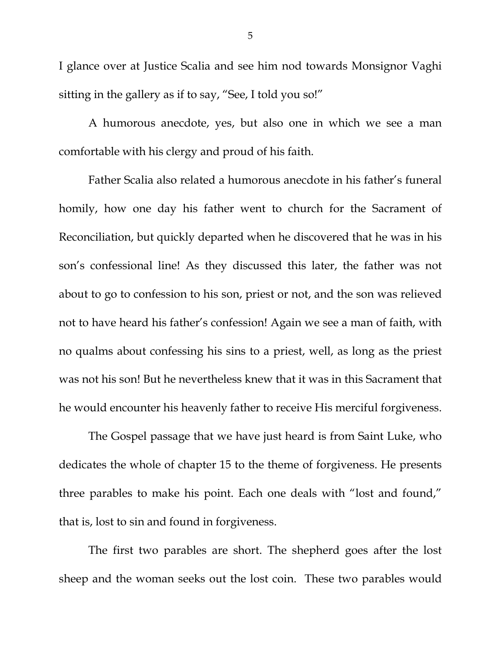I glance over at Justice Scalia and see him nod towards Monsignor Vaghi sitting in the gallery as if to say, "See, I told you so!"

A humorous anecdote, yes, but also one in which we see a man comfortable with his clergy and proud of his faith.

Father Scalia also related a humorous anecdote in his father's funeral homily, how one day his father went to church for the Sacrament of Reconciliation, but quickly departed when he discovered that he was in his son's confessional line! As they discussed this later, the father was not about to go to confession to his son, priest or not, and the son was relieved not to have heard his father's confession! Again we see a man of faith, with no qualms about confessing his sins to a priest, well, as long as the priest was not his son! But he nevertheless knew that it was in this Sacrament that he would encounter his heavenly father to receive His merciful forgiveness.

The Gospel passage that we have just heard is from Saint Luke, who dedicates the whole of chapter 15 to the theme of forgiveness. He presents three parables to make his point. Each one deals with "lost and found," that is, lost to sin and found in forgiveness.

The first two parables are short. The shepherd goes after the lost sheep and the woman seeks out the lost coin. These two parables would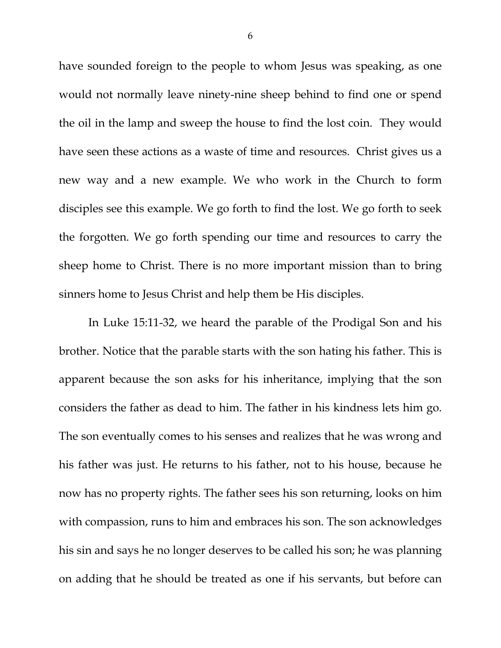have sounded foreign to the people to whom Jesus was speaking, as one would not normally leave ninety-nine sheep behind to find one or spend the oil in the lamp and sweep the house to find the lost coin. They would have seen these actions as a waste of time and resources. Christ gives us a new way and a new example. We who work in the Church to form disciples see this example. We go forth to find the lost. We go forth to seek the forgotten. We go forth spending our time and resources to carry the sheep home to Christ. There is no more important mission than to bring sinners home to Jesus Christ and help them be His disciples.

In Luke 15:11-32, we heard the parable of the Prodigal Son and his brother. Notice that the parable starts with the son hating his father. This is apparent because the son asks for his inheritance, implying that the son considers the father as dead to him. The father in his kindness lets him go. The son eventually comes to his senses and realizes that he was wrong and his father was just. He returns to his father, not to his house, because he now has no property rights. The father sees his son returning, looks on him with compassion, runs to him and embraces his son. The son acknowledges his sin and says he no longer deserves to be called his son; he was planning on adding that he should be treated as one if his servants, but before can

6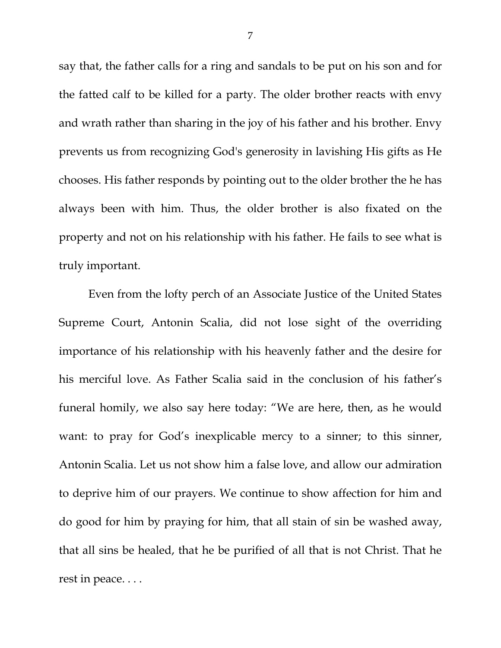say that, the father calls for a ring and sandals to be put on his son and for the fatted calf to be killed for a party. The older brother reacts with envy and wrath rather than sharing in the joy of his father and his brother. Envy prevents us from recognizing God's generosity in lavishing His gifts as He chooses. His father responds by pointing out to the older brother the he has always been with him. Thus, the older brother is also fixated on the property and not on his relationship with his father. He fails to see what is truly important.

Even from the lofty perch of an Associate Justice of the United States Supreme Court, Antonin Scalia, did not lose sight of the overriding importance of his relationship with his heavenly father and the desire for his merciful love. As Father Scalia said in the conclusion of his father's funeral homily, we also say here today: "We are here, then, as he would want: to pray for God's inexplicable mercy to a sinner; to this sinner, Antonin Scalia. Let us not show him a false love, and allow our admiration to deprive him of our prayers. We continue to show affection for him and do good for him by praying for him, that all stain of sin be washed away, that all sins be healed, that he be purified of all that is not Christ. That he rest in peace. . . .